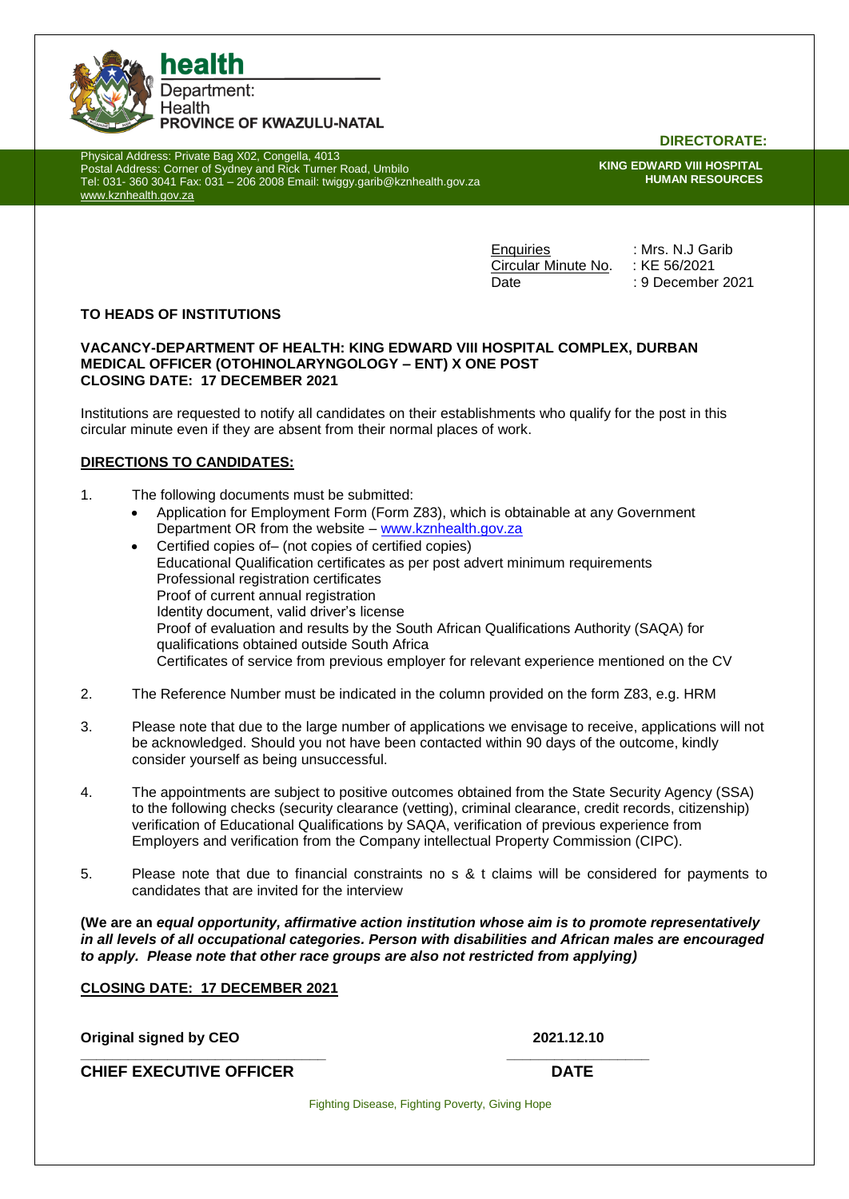

Physical Address: Private Bag X02, Congella, 4013 Postal Address: Corner of Sydney and Rick Turner Road, Umbilo Tel: 031- 360 3041 Fax: 031 – 206 2008 Email: twiggy.garib@kznhealth.gov.za [www.kznhealth.gov.za](http://www.kznhealth.gov.za/)

**DIRECTORATE:**

**KING EDWARD VIII HOSPITAL HUMAN RESOURCES**

Enquiries : Mrs. N.J Garib Circular Minute No. : KE 56/2021 Date : 9 December 2021

# **TO HEADS OF INSTITUTIONS**

## **VACANCY-DEPARTMENT OF HEALTH: KING EDWARD VIII HOSPITAL COMPLEX, DURBAN MEDICAL OFFICER (OTOHINOLARYNGOLOGY – ENT) X ONE POST CLOSING DATE: 17 DECEMBER 2021**

Institutions are requested to notify all candidates on their establishments who qualify for the post in this circular minute even if they are absent from their normal places of work.

# **DIRECTIONS TO CANDIDATES:**

- 1. The following documents must be submitted:
	- Application for Employment Form (Form Z83), which is obtainable at any Government Department OR from the website – www.kznhealth.gov.za
		- Certified copies of– (not copies of certified copies) Educational Qualification certificates as per post advert minimum requirements Professional registration certificates Proof of current annual registration Identity document, valid driver's license Proof of evaluation and results by the South African Qualifications Authority (SAQA) for qualifications obtained outside South Africa Certificates of service from previous employer for relevant experience mentioned on the CV
- 2. The Reference Number must be indicated in the column provided on the form Z83, e.g. HRM
- 3. Please note that due to the large number of applications we envisage to receive, applications will not be acknowledged. Should you not have been contacted within 90 days of the outcome, kindly consider yourself as being unsuccessful.
- 4. The appointments are subject to positive outcomes obtained from the State Security Agency (SSA) to the following checks (security clearance (vetting), criminal clearance, credit records, citizenship) verification of Educational Qualifications by SAQA, verification of previous experience from Employers and verification from the Company intellectual Property Commission (CIPC).
- 5. Please note that due to financial constraints no s & t claims will be considered for payments to candidates that are invited for the interview

**(We are an** *equal opportunity, affirmative action institution whose aim is to promote representatively in all levels of all occupational categories. Person with disabilities and African males are encouraged to apply. Please note that other race groups are also not restricted from applying)*

# **CLOSING DATE: 17 DECEMBER 2021**

**Original signed by CEO 2021.12.10**

**\_\_\_\_\_\_\_\_\_\_\_\_\_\_\_\_\_\_\_\_\_\_\_\_\_\_\_\_\_\_\_ \_\_\_\_\_\_\_\_\_\_\_\_\_\_\_\_\_\_ CHIEF EXECUTIVE OFFICER DATE** 

Fighting Disease, Fighting Poverty, Giving Hope